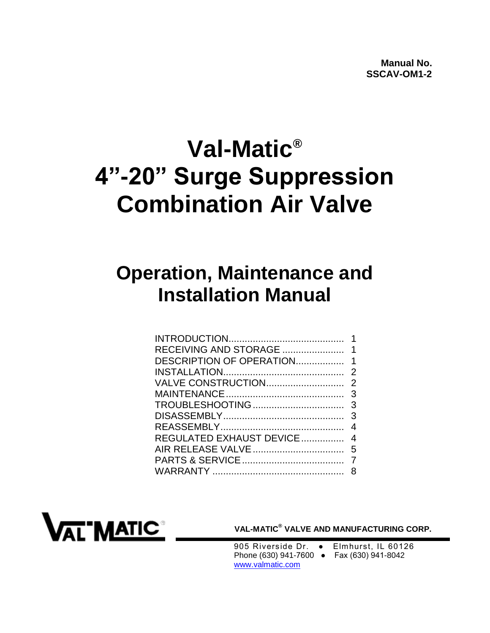# **Val-Matic® 4"-20" Surge Suppression Combination Air Valve**

## **Operation, Maintenance and Installation Manual**

| REGULATED EXHAUST DEVICE 4 |  |
|----------------------------|--|
|                            |  |
|                            |  |
|                            |  |
|                            |  |



 **VAL-MATIC® VALVE AND MANUFACTURING CORP.**

905 Riverside Dr. • Elmhurst, IL 60126 Phone (630) 941-7600 ● Fax (630) 941-8042 [www.valmatic.com](http://www.valmatic.com/)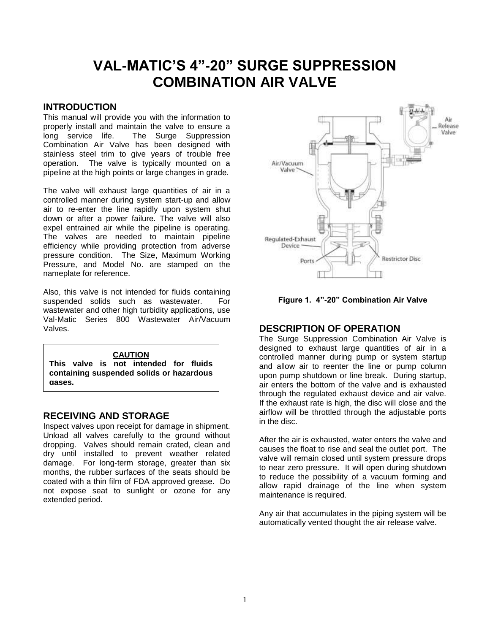### <span id="page-1-0"></span>**VAL-MATIC'S 4"-20" SURGE SUPPRESSION COMBINATION AIR VALVE**

#### **INTRODUCTION**

This manual will provide you with the information to properly install and maintain the valve to ensure a long service life. The Surge Suppression Combination Air Valve has been designed with stainless steel trim to give years of trouble free operation. The valve is typically mounted on a pipeline at the high points or large changes in grade.

The valve will exhaust large quantities of air in a controlled manner during system start-up and allow air to re-enter the line rapidly upon system shut down or after a power failure. The valve will also expel entrained air while the pipeline is operating. The valves are needed to maintain pipeline efficiency while providing protection from adverse pressure condition. The Size, Maximum Working Pressure, and Model No. are stamped on the nameplate for reference.

Also, this valve is not intended for fluids containing suspended solids such as wastewater. For wastewater and other high turbidity applications, use Val-Matic Series 800 Wastewater Air/Vacuum Valves.

#### **CAUTION**

**This valve is not intended for fluids containing suspended solids or hazardous gases.**

#### **RECEIVING AND STORAGE**

Inspect valves upon receipt for damage in shipment. Unload all valves carefully to the ground without dropping. Valves should remain crated, clean and dry until installed to prevent weather related damage. For long-term storage, greater than six months, the rubber surfaces of the seats should be coated with a thin film of FDA approved grease. Do not expose seat to sunlight or ozone for any extended period.



**Figure 1. 4"-20" Combination Air Valve**

#### **DESCRIPTION OF OPERATION**

The Surge Suppression Combination Air Valve is designed to exhaust large quantities of air in a controlled manner during pump or system startup and allow air to reenter the line or pump column upon pump shutdown or line break. During startup, air enters the bottom of the valve and is exhausted through the regulated exhaust device and air valve. If the exhaust rate is high, the disc will close and the airflow will be throttled through the adjustable ports in the disc.

After the air is exhausted, water enters the valve and causes the float to rise and seal the outlet port. The valve will remain closed until system pressure drops to near zero pressure. It will open during shutdown to reduce the possibility of a vacuum forming and allow rapid drainage of the line when system maintenance is required.

Any air that accumulates in the piping system will be automatically vented thought the air release valve.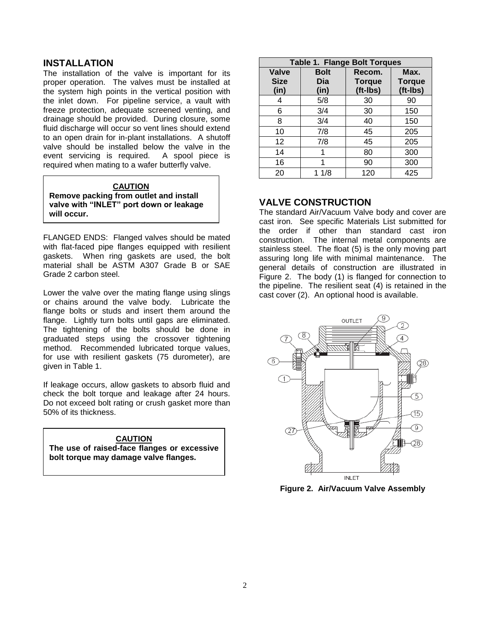#### <span id="page-2-0"></span>**INSTALLATION**

The installation of the valve is important for its proper operation. The valves must be installed at the system high points in the vertical position with the inlet down. For pipeline service, a vault with freeze protection, adequate screened venting, and drainage should be provided. During closure, some fluid discharge will occur so vent lines should extend to an open drain for in-plant installations. A shutoff valve should be installed below the valve in the event servicing is required. A spool piece is required when mating to a wafer butterfly valve.

| <b>CAUTION</b>                          |
|-----------------------------------------|
| Remove packing from outlet and install  |
| valve with "INLET" port down or leakage |
| will occur.                             |

FLANGED ENDS: Flanged valves should be mated with flat-faced pipe flanges equipped with resilient gaskets. When ring gaskets are used, the bolt material shall be ASTM A307 Grade B or SAE Grade 2 carbon steel.

Lower the valve over the mating flange using slings or chains around the valve body. Lubricate the flange bolts or studs and insert them around the flange. Lightly turn bolts until gaps are eliminated. The tightening of the bolts should be done in graduated steps using the crossover tightening method. Recommended lubricated torque values, for use with resilient gaskets (75 durometer), are given in Table 1.

If leakage occurs, allow gaskets to absorb fluid and check the bolt torque and leakage after 24 hours. Do not exceed bolt rating or crush gasket more than 50% of its thickness.

#### **CAUTION The use of raised-face flanges or excessive bolt torque may damage valve flanges.**

| <b>Table 1. Flange Bolt Torques</b> |                            |                                     |                                   |
|-------------------------------------|----------------------------|-------------------------------------|-----------------------------------|
| <b>Valve</b><br><b>Size</b><br>(in) | <b>Bolt</b><br>Dia<br>(in) | Recom.<br><b>Torque</b><br>(ft-Ibs) | Max.<br><b>Torque</b><br>(ft-Ibs) |
| 4                                   | 5/8                        | 30                                  | 90                                |
| 6                                   | 3/4                        | 30                                  | 150                               |
| 8                                   | 3/4                        | 40                                  | 150                               |
| 10                                  | 7/8                        | 45                                  | 205                               |
| 12                                  | 7/8                        | 45                                  | 205                               |
| 14                                  | 1                          | 80                                  | 300                               |
| 16                                  | 1                          | 90                                  | 300                               |
| 20                                  | 1 1/8                      | 120                                 | 425                               |

#### **VALVE CONSTRUCTION**

The standard Air/Vacuum Valve body and cover are cast iron. See specific Materials List submitted for the order if other than standard cast iron construction. The internal metal components are stainless steel. The float (5) is the only moving part assuring long life with minimal maintenance. The general details of construction are illustrated in Figure 2. The body (1) is flanged for connection to the pipeline. The resilient seat (4) is retained in the cast cover (2). An optional hood is available.



**Figure 2. Air/Vacuum Valve Assembly**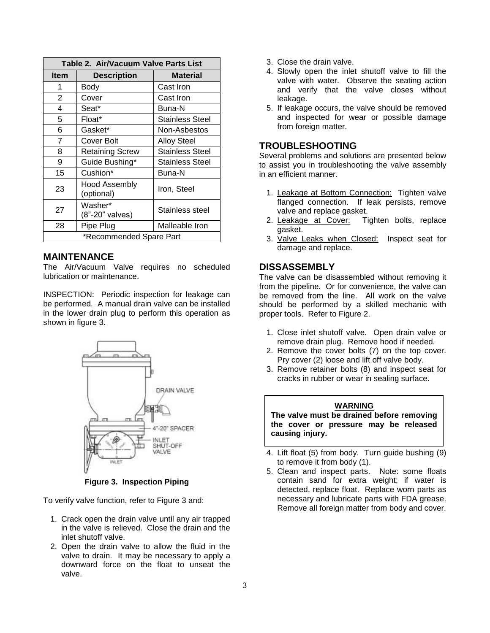<span id="page-3-0"></span>

| Table 2. Air/Vacuum Valve Parts List |                                    |                 |  |
|--------------------------------------|------------------------------------|-----------------|--|
| <b>Item</b>                          | <b>Description</b>                 | Material        |  |
| 1                                    | Body                               | Cast Iron       |  |
| 2                                    | Cover                              | Cast Iron       |  |
| 4                                    | Seat*                              | Buna-N          |  |
| 5                                    | Float*                             | Stainless Steel |  |
| 6                                    | Gasket*                            | Non-Asbestos    |  |
| $\overline{7}$                       | Cover Bolt                         | Alloy Steel     |  |
| 8                                    | <b>Retaining Screw</b>             | Stainless Steel |  |
| 9                                    | Guide Bushing*                     | Stainless Steel |  |
| 15                                   | Cushion*                           | Buna-N          |  |
| 23                                   | <b>Hood Assembly</b><br>(optional) | Iron, Steel     |  |
| 27                                   | Washer*<br>(8"-20" valves)         | Stainless steel |  |
| 28                                   | Pipe Plug                          | Malleable Iron  |  |
| *Recommended Spare Part              |                                    |                 |  |

#### **MAINTENANCE**

The Air/Vacuum Valve requires no scheduled lubrication or maintenance.

INSPECTION: Periodic inspection for leakage can be performed. A manual drain valve can be installed in the lower drain plug to perform this operation as shown in figure 3.



**Figure 3. Inspection Piping**

To verify valve function, refer to Figure 3 and:

- 1. Crack open the drain valve until any air trapped in the valve is relieved. Close the drain and the inlet shutoff valve.
- 2. Open the drain valve to allow the fluid in the valve to drain. It may be necessary to apply a downward force on the float to unseat the valve.
- 3. Close the drain valve.
- 4. Slowly open the inlet shutoff valve to fill the valve with water. Observe the seating action and verify that the valve closes without leakage.
- 5. If leakage occurs, the valve should be removed and inspected for wear or possible damage from foreign matter.

#### **TROUBLESHOOTING**

Several problems and solutions are presented below to assist you in troubleshooting the valve assembly in an efficient manner.

- 1. Leakage at Bottom Connection: Tighten valve flanged connection. If leak persists, remove valve and replace gasket.
- 2. Leakage at Cover: Tighten bolts, replace gasket.
- 3. Valve Leaks when Closed: Inspect seat for damage and replace.

#### **DISSASSEMBLY**

The valve can be disassembled without removing it from the pipeline. Or for convenience, the valve can be removed from the line. All work on the valve should be performed by a skilled mechanic with proper tools. Refer to Figure 2.

- 1. Close inlet shutoff valve. Open drain valve or remove drain plug. Remove hood if needed.
- 2. Remove the cover bolts (7) on the top cover. Pry cover (2) loose and lift off valve body.
- 3. Remove retainer bolts (8) and inspect seat for cracks in rubber or wear in sealing surface.

#### **WARNING**

**The valve must be drained before removing the cover or pressure may be released causing injury.**

- 4. Lift float (5) from body. Turn guide bushing (9) to remove it from body (1).
- 5. Clean and inspect parts. Note: some floats contain sand for extra weight; if water is detected, replace float. Replace worn parts as necessary and lubricate parts with FDA grease. Remove all foreign matter from body and cover.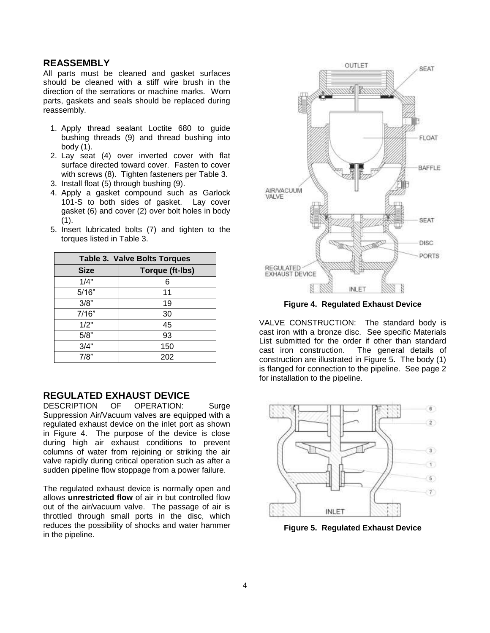#### <span id="page-4-0"></span>**REASSEMBLY**

All parts must be cleaned and gasket surfaces should be cleaned with a stiff wire brush in the direction of the serrations or machine marks. Worn parts, gaskets and seals should be replaced during reassembly.

- 1. Apply thread sealant Loctite 680 to guide bushing threads (9) and thread bushing into body (1).
- 2. Lay seat (4) over inverted cover with flat surface directed toward cover. Fasten to cover with screws (8). Tighten fasteners per Table 3.
- 3. Install float (5) through bushing (9).
- 4. Apply a gasket compound such as Garlock 101-S to both sides of gasket. Lay cover gasket (6) and cover (2) over bolt holes in body (1).
- 5. Insert lubricated bolts (7) and tighten to the torques listed in Table 3.

| <b>Table 3. Valve Bolts Torques</b> |                 |  |
|-------------------------------------|-----------------|--|
| <b>Size</b>                         | Torque (ft-lbs) |  |
| 1/4"                                | 6               |  |
| 5/16"                               | 11              |  |
| 3/8"                                | 19              |  |
| 7/16"                               | 30              |  |
| 1/2"                                | 45              |  |
| 5/8"                                | 93              |  |
| 3/4"                                | 150             |  |
| 7/8"                                | 202             |  |

#### **REGULATED EXHAUST DEVICE**

DESCRIPTION OF OPERATION: Surge Suppression Air/Vacuum valves are equipped with a regulated exhaust device on the inlet port as shown in Figure 4. The purpose of the device is close during high air exhaust conditions to prevent columns of water from rejoining or striking the air valve rapidly during critical operation such as after a sudden pipeline flow stoppage from a power failure.

The regulated exhaust device is normally open and allows **unrestricted flow** of air in but controlled flow out of the air/vacuum valve. The passage of air is throttled through small ports in the disc, which reduces the possibility of shocks and water hammer in the pipeline.



**Figure 4. Regulated Exhaust Device**

VALVE CONSTRUCTION: The standard body is cast iron with a bronze disc. See specific Materials List submitted for the order if other than standard cast iron construction. The general details of construction are illustrated in Figure 5. The body (1) is flanged for connection to the pipeline. See page 2 for installation to the pipeline.



**Figure 5. Regulated Exhaust Device**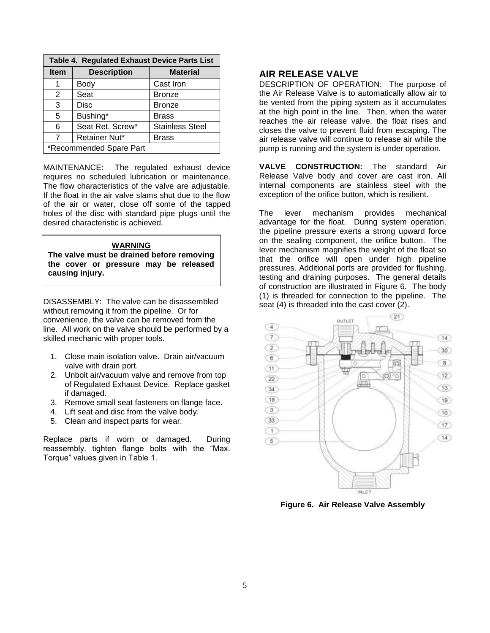<span id="page-5-0"></span>

| Table 4. Regulated Exhaust Device Parts List |                    |                        |
|----------------------------------------------|--------------------|------------------------|
| <b>Item</b>                                  | <b>Description</b> | <b>Material</b>        |
| 1                                            | Body               | Cast Iron              |
| 2                                            | Seat               | <b>Bronze</b>          |
| 3                                            | Disc               | <b>Bronze</b>          |
| 5                                            | Bushing*           | <b>Brass</b>           |
| 6                                            | Seat Ret. Screw*   | <b>Stainless Steel</b> |
| 7                                            | Retainer Nut*      | Brass                  |
| *Recommended Spare Part                      |                    |                        |

MAINTENANCE: The regulated exhaust device requires no scheduled lubrication or maintenance. The flow characteristics of the valve are adjustable. If the float in the air valve slams shut due to the flow of the air or water, close off some of the tapped holes of the disc with standard pipe plugs until the desired characteristic is achieved.

#### **WARNING**

**The valve must be drained before removing the cover or pressure may be released causing injury.**

DISASSEMBLY: The valve can be disassembled without removing it from the pipeline. Or for convenience, the valve can be removed from the line. All work on the valve should be performed by a skilled mechanic with proper tools.

- 1. Close main isolation valve. Drain air/vacuum valve with drain port.
- 2. Unbolt air/vacuum valve and remove from top of Regulated Exhaust Device. Replace gasket if damaged.
- 3. Remove small seat fasteners on flange face.
- 4. Lift seat and disc from the valve body.
- 5. Clean and inspect parts for wear.

Replace parts if worn or damaged. During reassembly, tighten flange bolts with the "Max. Torque" values given in Table 1.

#### **AIR RELEASE VALVE**

DESCRIPTION OF OPERATION: The purpose of the Air Release Valve is to automatically allow air to be vented from the piping system as it accumulates at the high point in the line. Then, when the water reaches the air release valve, the float rises and closes the valve to prevent fluid from escaping. The air release valve will continue to release air while the pump is running and the system is under operation.

**VALVE CONSTRUCTION:** The standard Air Release Valve body and cover are cast iron. All internal components are stainless steel with the exception of the orifice button, which is resilient.

The lever mechanism provides mechanical advantage for the float. During system operation, the pipeline pressure exerts a strong upward force on the sealing component, the orifice button. The lever mechanism magnifies the weight of the float so that the orifice will open under high pipeline pressures. Additional ports are provided for flushing, testing and draining purposes. The general details of construction are illustrated in Figure 6. The body (1) is threaded for connection to the pipeline. The seat (4) is threaded into the cast cover (2).



**Figure 6. Air Release Valve Assembly**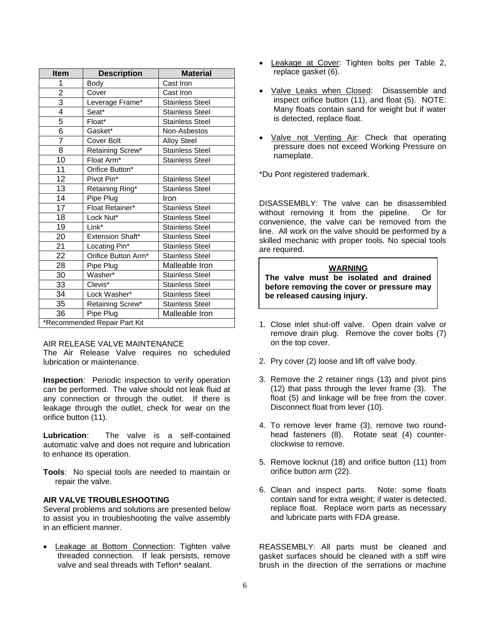| Item                         | <b>Description</b>      | <b>Material</b>        |
|------------------------------|-------------------------|------------------------|
| 1                            | Body                    | Cast Iron              |
| $\overline{2}$               | Cover                   | Cast Iron              |
| $\overline{3}$               | Leverage Frame*         | <b>Stainless Steel</b> |
| 4                            | Seat*                   | <b>Stainless Steel</b> |
| 5                            | Float*                  | <b>Stainless Steel</b> |
| 6                            | Gasket*                 | Non-Asbestos           |
| $\overline{7}$               | Cover Bolt              | <b>Alloy Steel</b>     |
| 8                            | Retaining Screw*        | <b>Stainless Steel</b> |
| 10                           | Float Arm*              | <b>Stainless Steel</b> |
| 11                           | Orifice Button*         |                        |
| 12                           | Pivot Pin*              | <b>Stainless Steel</b> |
| 13                           | Retaining Ring*         | <b>Stainless Steel</b> |
| 14                           | Pipe Plug               | Iron                   |
| 17                           | Float Retainer*         | <b>Stainless Steel</b> |
| 18                           | Lock Nut*               | <b>Stainless Steel</b> |
| 19                           | Link*                   | <b>Stainless Steel</b> |
| 20                           | <b>Extension Shaft*</b> | <b>Stainless Steel</b> |
| 21                           | Locating Pin*           | <b>Stainless Steel</b> |
| 22                           | Orifice Button Arm*     | Stainless Steel        |
| 28                           | Pipe Plug               | Malleable Iron         |
| 30                           | Washer*                 | <b>Stainless Steel</b> |
| 33                           | Clevis*                 | <b>Stainless Steel</b> |
| 34                           | Lock Washer*            | <b>Stainless Steel</b> |
| 35                           | Retaining Screw*        | <b>Stainless Steel</b> |
| 36                           | Pipe Plug               | Malleable Iron         |
| *Recommended Repair Part Kit |                         |                        |

#### AIR RELEASE VALVE MAINTENANCE

The Air Release Valve requires no scheduled lubrication or maintenance.

**Inspection**: Periodic inspection to verify operation can be performed. The valve should not leak fluid at any connection or through the outlet. If there is leakage through the outlet, check for wear on the orifice button (11).

**Lubrication**: The valve is a self-contained automatic valve and does not require and lubrication to enhance its operation.

**Tools**: No special tools are needed to maintain or repair the valve.

#### **AIR VALVE TROUBLESHOOTING**

Several problems and solutions are presented below to assist you in troubleshooting the valve assembly in an efficient manner.

 Leakage at Bottom Connection: Tighten valve threaded connection. If leak persists, remove valve and seal threads with Teflon\* sealant.

- Leakage at Cover: Tighten bolts per Table 2, replace gasket (6).
- Valve Leaks when Closed: Disassemble and inspect orifice button (11), and float (5). NOTE: Many floats contain sand for weight but if water is detected, replace float.
- Valve not Venting Air: Check that operating pressure does not exceed Working Pressure on nameplate.

\*Du Pont registered trademark.

DISASSEMBLY: The valve can be disassembled without removing it from the pipeline. Or for convenience, the valve can be removed from the line. All work on the valve should be performed by a skilled mechanic with proper tools. No special tools are required.

#### **WARNING**

**The valve must be isolated and drained before removing the cover or pressure may be released causing injury.**

- 1. Close inlet shut-off valve. Open drain valve or remove drain plug. Remove the cover bolts (7) on the top cover.
- 2. Pry cover (2) loose and lift off valve body.
- 3. Remove the 2 retainer rings (13) and pivot pins (12) that pass through the lever frame (3). The float (5) and linkage will be free from the cover. Disconnect float from lever (10).
- 4. To remove lever frame (3), remove two roundhead fasteners (8). Rotate seat (4) counterclockwise to remove.
- 5. Remove locknut (18) and orifice button (11) from orifice button arm (22).
- 6. Clean and inspect parts. Note: some floats contain sand for extra weight; if water is detected, replace float. Replace worn parts as necessary and lubricate parts with FDA grease.

REASSEMBLY: All parts must be cleaned and gasket surfaces should be cleaned with a stiff wire brush in the direction of the serrations or machine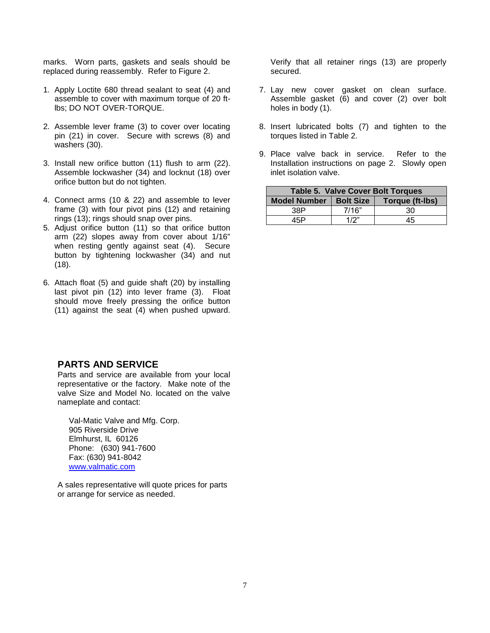<span id="page-7-0"></span>marks. Worn parts, gaskets and seals should be replaced during reassembly. Refer to Figure 2.

- 1. Apply Loctite 680 thread sealant to seat (4) and assemble to cover with maximum torque of 20 ftlbs; DO NOT OVER-TORQUE.
- 2. Assemble lever frame (3) to cover over locating pin (21) in cover. Secure with screws (8) and washers (30).
- 3. Install new orifice button (11) flush to arm (22). Assemble lockwasher (34) and locknut (18) over orifice button but do not tighten.
- 4. Connect arms (10 & 22) and assemble to lever frame (3) with four pivot pins (12) and retaining rings (13); rings should snap over pins.
- 5. Adjust orifice button (11) so that orifice button arm (22) slopes away from cover about 1/16" when resting gently against seat (4). Secure button by tightening lockwasher (34) and nut (18).
- 6. Attach float (5) and guide shaft (20) by installing last pivot pin (12) into lever frame (3). Float should move freely pressing the orifice button (11) against the seat (4) when pushed upward.

#### **PARTS AND SERVICE**

Parts and service are available from your local representative or the factory. Make note of the valve Size and Model No. located on the valve nameplate and contact:

Val-Matic Valve and Mfg. Corp. 905 Riverside Drive Elmhurst, IL 60126 Phone: (630) 941-7600 Fax: (630) 941-8042 [www.valmatic.com](http://www.valmatic.com/)

A sales representative will quote prices for parts or arrange for service as needed.

Verify that all retainer rings (13) are properly secured.

- 7. Lay new cover gasket on clean surface. Assemble gasket (6) and cover (2) over bolt holes in body (1).
- 8. Insert lubricated bolts (7) and tighten to the torques listed in Table 2.
- 9. Place valve back in service. Refer to the Installation instructions on page 2. Slowly open inlet isolation valve.

| <b>Table 5. Valve Cover Bolt Torques</b> |                  |                 |  |
|------------------------------------------|------------------|-----------------|--|
| <b>Model Number</b>                      | <b>Bolt Size</b> | Torque (ft-lbs) |  |
| 38P                                      | 7/16"            | 30              |  |
| 45P                                      | 1/2"             | 45              |  |